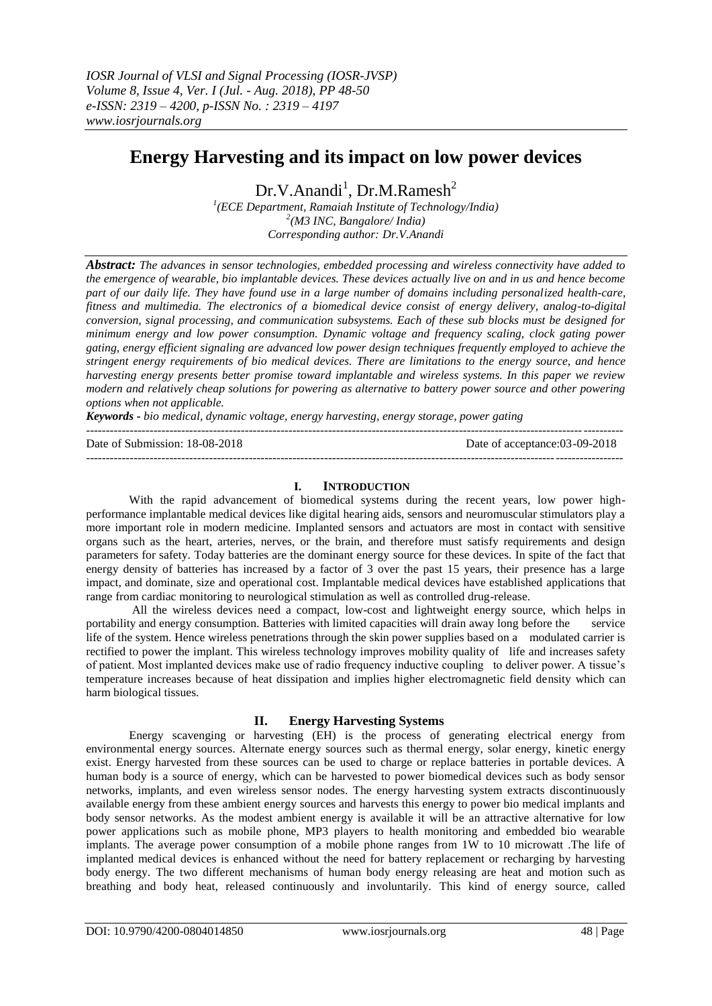# **Energy Harvesting and its impact on low power devices**

 $Dr.V.Anandi<sup>1</sup>, Dr.M.Ramesh<sup>2</sup>$ 

*1 (ECE Department, Ramaiah Institute of Technology/India) 2 (M3 INC, Bangalore/ India) Corresponding author: Dr.V.Anandi*

*Abstract: The advances in sensor technologies, embedded processing and wireless connectivity have added to the emergence of wearable, bio implantable devices. These devices actually live on and in us and hence become part of our daily life. They have found use in a large number of domains including personalized health-care, fitness and multimedia. The electronics of a biomedical device consist of energy delivery, analog-to-digital conversion, signal processing, and communication subsystems. Each of these sub blocks must be designed for minimum energy and low power consumption. Dynamic voltage and frequency scaling, clock gating power gating, energy efficient signaling are advanced low power design techniques frequently employed to achieve the stringent energy requirements of bio medical devices. There are limitations to the energy source, and hence harvesting energy presents better promise toward implantable and wireless systems. In this paper we review modern and relatively cheap solutions for powering as alternative to battery power source and other powering options when not applicable.* 

*Keywords - bio medical, dynamic voltage, energy harvesting, energy storage, power gating* 

| Date of Submission: 18-08-2018 | Date of acceptance:03-09-2018 |
|--------------------------------|-------------------------------|
|                                |                               |

## **I. INTRODUCTION**

With the rapid advancement of biomedical systems during the recent years, low power highperformance implantable medical devices like digital hearing aids, sensors and neuromuscular stimulators play a more important role in modern medicine. Implanted sensors and actuators are most in contact with sensitive organs such as the heart, arteries, nerves, or the brain, and therefore must satisfy requirements and design parameters for safety. Today batteries are the dominant energy source for these devices. In spite of the fact that energy density of batteries has increased by a factor of 3 over the past 15 years, their presence has a large impact, and dominate, size and operational cost. Implantable medical devices have established applications that range from cardiac monitoring to neurological stimulation as well as controlled drug-release.

All the wireless devices need a compact, low-cost and lightweight energy source, which helps in portability and energy consumption. Batteries with limited capacities will drain away long before the service life of the system. Hence wireless penetrations through the skin power supplies based on a modulated carrier is rectified to power the implant. This wireless technology improves mobility quality of life and increases safety of patient. Most implanted devices make use of radio frequency inductive coupling to deliver power. A tissue's temperature increases because of heat dissipation and implies higher electromagnetic field density which can harm biological tissues.

## **II. Energy Harvesting Systems**

Energy scavenging or harvesting (EH) is the process of generating electrical energy from environmental energy sources. Alternate energy sources such as thermal energy, solar energy, kinetic energy exist. Energy harvested from these sources can be used to charge or replace batteries in portable devices. A human body is a source of energy, which can be harvested to power biomedical devices such as body sensor networks, implants, and even wireless sensor nodes. The energy harvesting system extracts discontinuously available energy from these ambient energy sources and harvests this energy to power bio medical implants and body sensor networks. As the modest ambient energy is available it will be an attractive alternative for low power applications such as mobile phone, MP3 players to health monitoring and embedded bio wearable implants. The average power consumption of a mobile phone ranges from 1W to 10 microwatt .The life of implanted medical devices is enhanced without the need for battery replacement or recharging by harvesting body energy. The two different mechanisms of human body energy releasing are heat and motion such as breathing and body heat, released continuously and involuntarily. This kind of energy source, called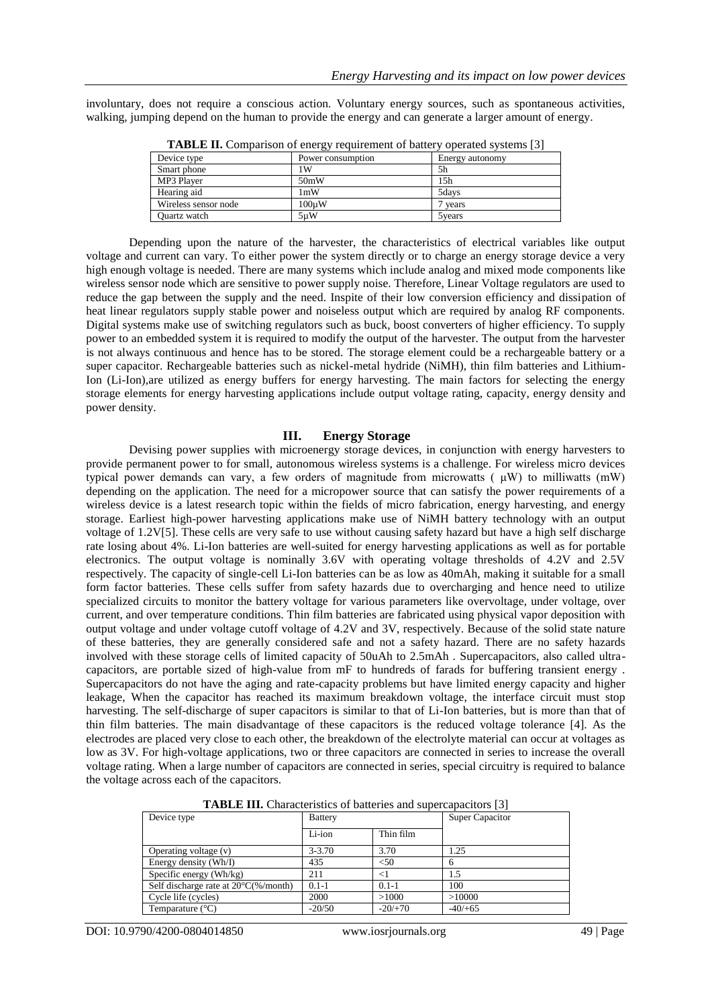involuntary, does not require a conscious action. Voluntary energy sources, such as spontaneous activities, walking, jumping depend on the human to provide the energy and can generate a larger amount of energy.

| Device type          | Power consumption | Energy autonomy |  |
|----------------------|-------------------|-----------------|--|
| Smart phone          | ١W                | 5h              |  |
| MP3 Player           | 50mW              | 15 <sub>h</sub> |  |
| Hearing aid          | 1 <sub>m</sub> W  | 5days           |  |
| Wireless sensor node | 100uW             | vears           |  |
| Quartz watch         | 5uW               | 5 vears         |  |
|                      |                   |                 |  |

**TABLE II.** Comparison of energy requirement of battery operated systems [3]

Depending upon the nature of the harvester, the characteristics of electrical variables like output voltage and current can vary. To either power the system directly or to charge an energy storage device a very high enough voltage is needed. There are many systems which include analog and mixed mode components like wireless sensor node which are sensitive to power supply noise. Therefore, Linear Voltage regulators are used to reduce the gap between the supply and the need. Inspite of their low conversion efficiency and dissipation of heat linear regulators supply stable power and noiseless output which are required by analog RF components. Digital systems make use of switching regulators such as buck, boost converters of higher efficiency. To supply power to an embedded system it is required to modify the output of the harvester. The output from the harvester is not always continuous and hence has to be stored. The storage element could be a rechargeable battery or a super capacitor. Rechargeable batteries such as nickel-metal hydride (NiMH), thin film batteries and Lithium-Ion (Li-Ion),are utilized as energy buffers for energy harvesting. The main factors for selecting the energy storage elements for energy harvesting applications include output voltage rating, capacity, energy density and power density.

#### **III. Energy Storage**

Devising power supplies with microenergy storage devices, in conjunction with energy harvesters to provide permanent power to for small, autonomous wireless systems is a challenge. For wireless micro devices typical power demands can vary, a few orders of magnitude from microwatts  $(\mu W)$  to milliwatts  $(mW)$ depending on the application. The need for a micropower source that can satisfy the power requirements of a wireless device is a latest research topic within the fields of micro fabrication, energy harvesting, and energy storage. Earliest high-power harvesting applications make use of NiMH battery technology with an output voltage of 1.2V[5]. These cells are very safe to use without causing safety hazard but have a high self discharge rate losing about 4%. Li-Ion batteries are well-suited for energy harvesting applications as well as for portable electronics. The output voltage is nominally 3.6V with operating voltage thresholds of 4.2V and 2.5V respectively. The capacity of single-cell Li-Ion batteries can be as low as 40mAh, making it suitable for a small form factor batteries. These cells suffer from safety hazards due to overcharging and hence need to utilize specialized circuits to monitor the battery voltage for various parameters like overvoltage, under voltage, over current, and over temperature conditions. Thin film batteries are fabricated using physical vapor deposition with output voltage and under voltage cutoff voltage of 4.2V and 3V, respectively. Because of the solid state nature of these batteries, they are generally considered safe and not a safety hazard. There are no safety hazards involved with these storage cells of limited capacity of 50uAh to 2.5mAh . Supercapacitors, also called ultracapacitors, are portable sized of high-value from mF to hundreds of farads for buffering transient energy . Supercapacitors do not have the aging and rate-capacity problems but have limited energy capacity and higher leakage, When the capacitor has reached its maximum breakdown voltage, the interface circuit must stop harvesting. The self-discharge of super capacitors is similar to that of Li-Ion batteries, but is more than that of thin film batteries. The main disadvantage of these capacitors is the reduced voltage tolerance [4]. As the electrodes are placed very close to each other, the breakdown of the electrolyte material can occur at voltages as low as 3V. For high-voltage applications, two or three capacitors are connected in series to increase the overall voltage rating. When a large number of capacitors are connected in series, special circuitry is required to balance the voltage across each of the capacitors.

| Device type                                             | <b>Battery</b> |           | <b>Super Capacitor</b> |  |  |
|---------------------------------------------------------|----------------|-----------|------------------------|--|--|
|                                                         | Li-ion         | Thin film |                        |  |  |
| Operating voltage (v)                                   | $3 - 3.70$     | 3.70      | 1.25                   |  |  |
| Energy density (Wh/I)                                   | 435            | $<$ 50    | 6                      |  |  |
| Specific energy (Wh/kg)                                 | 211            | $\leq$ 1  | 1.5                    |  |  |
| Self discharge rate at $20^{\circ}C(\% / \text{month})$ | $0.1 - 1$      | $0.1 - 1$ | 100                    |  |  |
| Cycle life (cycles)                                     | 2000           | >1000     | >10000                 |  |  |
| Temparature $(^{\circ}C)$                               | $-20/50$       | $-20/+70$ | $-40/+65$              |  |  |

**TABLE III.** Characteristics of batteries and supercapacitors [3]

DOI: 10.9790/4200-0804014850 www.iosrjournals.org 49 | Page